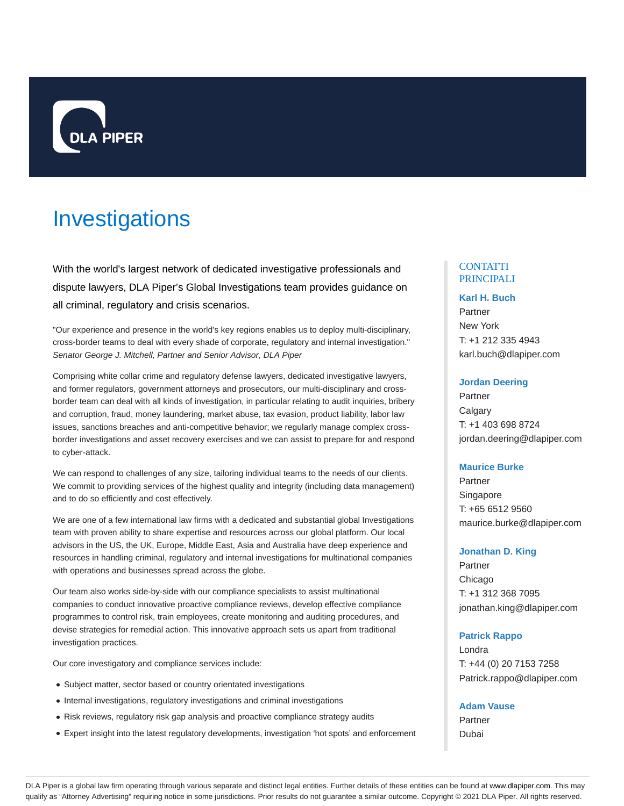

# Investigations

With the world's largest network of dedicated investigative professionals and dispute lawyers, DLA Piper's Global Investigations team provides guidance on all criminal, regulatory and crisis scenarios.

"Our experience and presence in the world's key regions enables us to deploy multi-disciplinary, cross-border teams to deal with every shade of corporate, regulatory and internal investigation." Senator George J. Mitchell, Partner and Senior Advisor, DLA Piper

Comprising white collar crime and regulatory defense lawyers, dedicated investigative lawyers, and former regulators, government attorneys and prosecutors, our multi-disciplinary and crossborder team can deal with all kinds of investigation, in particular relating to audit inquiries, bribery and corruption, fraud, money laundering, market abuse, tax evasion, product liability, labor law issues, sanctions breaches and anti-competitive behavior; we regularly manage complex crossborder investigations and asset recovery exercises and we can assist to prepare for and respond to cyber-attack.

We can respond to challenges of any size, tailoring individual teams to the needs of our clients. We commit to providing services of the highest quality and integrity (including data management) and to do so efficiently and cost effectively.

We are one of a few international law firms with a dedicated and substantial global Investigations team with proven ability to share expertise and resources across our global platform. Our local advisors in the US, the UK, Europe, Middle East, Asia and Australia have deep experience and resources in handling criminal, regulatory and internal investigations for multinational companies with operations and businesses spread across the globe.

Our team also works side-by-side with our compliance specialists to assist multinational companies to conduct innovative proactive compliance reviews, develop effective compliance programmes to control risk, train employees, create monitoring and auditing procedures, and devise strategies for remedial action. This innovative approach sets us apart from traditional investigation practices.

Our core investigatory and compliance services include:

- Subject matter, sector based or country orientated investigations
- Internal investigations, regulatory investigations and criminal investigations
- Risk reviews, regulatory risk gap analysis and proactive compliance strategy audits
- Expert insight into the latest regulatory developments, investigation 'hot spots' and enforcement

## **CONTATTI** PRINCIPALI

#### **Karl H. Buch**

Partner New York T: +1 212 335 4943 karl.buch@dlapiper.com

## **Jordan Deering**

Partner **Calgary** T: +1 403 698 8724 jordan.deering@dlapiper.com

#### **Maurice Burke**

Partner Singapore T: +65 6512 9560 maurice.burke@dlapiper.com

## **Jonathan D. King**

Partner Chicago T: +1 312 368 7095 jonathan.king@dlapiper.com

## **Patrick Rappo**

Londra T: +44 (0) 20 7153 7258 Patrick.rappo@dlapiper.com

**Adam Vause**

Partner Dubai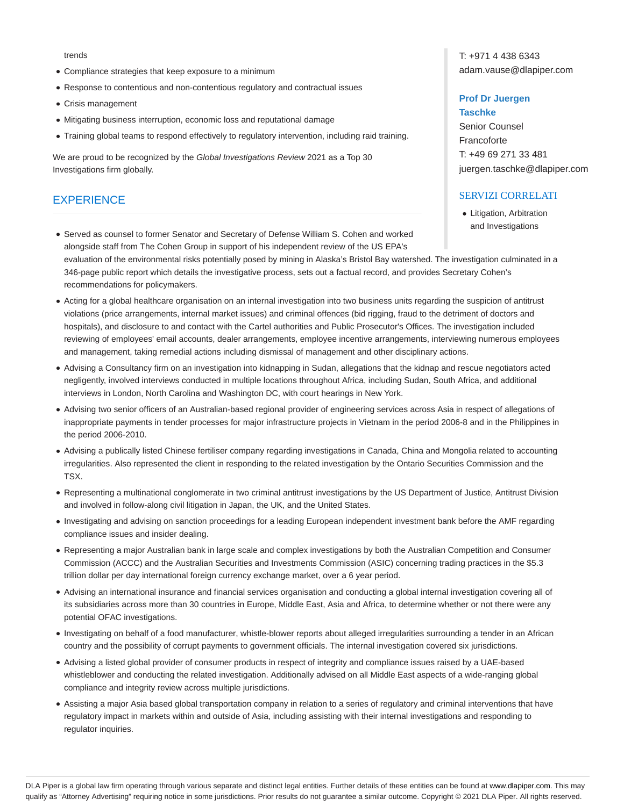#### trends

- Compliance strategies that keep exposure to a minimum
- Response to contentious and non-contentious regulatory and contractual issues
- Crisis management
- Mitigating business interruption, economic loss and reputational damage
- Training global teams to respond effectively to regulatory intervention, including raid training.

We are proud to be recognized by the Global Investigations Review 2021 as a Top 30 Investigations firm globally.

## **EXPERIENCE**

T: +971 4 438 6343 adam.vause@dlapiper.com

#### **Prof Dr Juergen**

**Taschke** Senior Counsel Francoforte T: +49 69 271 33 481 juergen.taschke@dlapiper.com

## SERVIZI CORRELATI

• Litigation, Arbitration and Investigations

- Served as counsel to former Senator and Secretary of Defense William S. Cohen and worked alongside staff from The Cohen Group in support of his independent review of the US EPA's evaluation of the environmental risks potentially posed by mining in Alaska's Bristol Bay watershed. The investigation culminated in a 346-page public report which details the investigative process, sets out a factual record, and provides Secretary Cohen's recommendations for policymakers.
- Acting for a global healthcare organisation on an internal investigation into two business units regarding the suspicion of antitrust violations (price arrangements, internal market issues) and criminal offences (bid rigging, fraud to the detriment of doctors and hospitals), and disclosure to and contact with the Cartel authorities and Public Prosecutor's Offices. The investigation included reviewing of employees' email accounts, dealer arrangements, employee incentive arrangements, interviewing numerous employees and management, taking remedial actions including dismissal of management and other disciplinary actions.
- Advising a Consultancy firm on an investigation into kidnapping in Sudan, allegations that the kidnap and rescue negotiators acted negligently, involved interviews conducted in multiple locations throughout Africa, including Sudan, South Africa, and additional interviews in London, North Carolina and Washington DC, with court hearings in New York.
- Advising two senior officers of an Australian-based regional provider of engineering services across Asia in respect of allegations of inappropriate payments in tender processes for major infrastructure projects in Vietnam in the period 2006-8 and in the Philippines in the period 2006-2010.
- Advising a publically listed Chinese fertiliser company regarding investigations in Canada, China and Mongolia related to accounting irregularities. Also represented the client in responding to the related investigation by the Ontario Securities Commission and the TSX.
- Representing a multinational conglomerate in two criminal antitrust investigations by the US Department of Justice, Antitrust Division and involved in follow-along civil litigation in Japan, the UK, and the United States.
- Investigating and advising on sanction proceedings for a leading European independent investment bank before the AMF regarding compliance issues and insider dealing.
- Representing a major Australian bank in large scale and complex investigations by both the Australian Competition and Consumer Commission (ACCC) and the Australian Securities and Investments Commission (ASIC) concerning trading practices in the \$5.3 trillion dollar per day international foreign currency exchange market, over a 6 year period.
- Advising an international insurance and financial services organisation and conducting a global internal investigation covering all of its subsidiaries across more than 30 countries in Europe, Middle East, Asia and Africa, to determine whether or not there were any potential OFAC investigations.
- Investigating on behalf of a food manufacturer, whistle-blower reports about alleged irregularities surrounding a tender in an African country and the possibility of corrupt payments to government officials. The internal investigation covered six jurisdictions.
- Advising a listed global provider of consumer products in respect of integrity and compliance issues raised by a UAE-based whistleblower and conducting the related investigation. Additionally advised on all Middle East aspects of a wide-ranging global compliance and integrity review across multiple jurisdictions.
- Assisting a major Asia based global transportation company in relation to a series of regulatory and criminal interventions that have regulatory impact in markets within and outside of Asia, including assisting with their internal investigations and responding to regulator inquiries.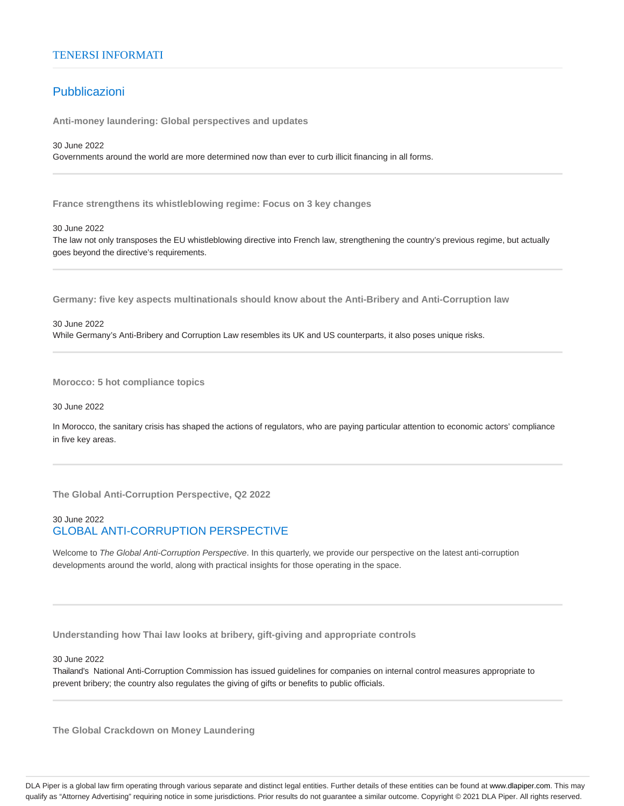## TENERSI INFORMATI

# Pubblicazioni

**Anti-money laundering: Global perspectives and updates**

30 June 2022 Governments around the world are more determined now than ever to curb illicit financing in all forms.

**France strengthens its whistleblowing regime: Focus on 3 key changes**

#### 30 June 2022

The law not only transposes the EU whistleblowing directive into French law, strengthening the country's previous regime, but actually goes beyond the directive's requirements.

**Germany: five key aspects multinationals should know about the Anti-Bribery and Anti-Corruption law**

## 30 June 2022

While Germany's Anti-Bribery and Corruption Law resembles its UK and US counterparts, it also poses unique risks.

**Morocco: 5 hot compliance topics**

30 June 2022

In Morocco, the sanitary crisis has shaped the actions of regulators, who are paying particular attention to economic actors' compliance in five key areas.

**The Global Anti-Corruption Perspective, Q2 2022**

## 30 June 2022 GLOBAL ANTI-CORRUPTION PERSPECTIVE

Welcome to The Global Anti-Corruption Perspective. In this quarterly, we provide our perspective on the latest anti-corruption developments around the world, along with practical insights for those operating in the space.

**Understanding how Thai law looks at bribery, gift-giving and appropriate controls**

30 June 2022

Thailand's National Anti-Corruption Commission has issued guidelines for companies on internal control measures appropriate to prevent bribery; the country also regulates the giving of gifts or benefits to public officials.

**The Global Crackdown on Money Laundering**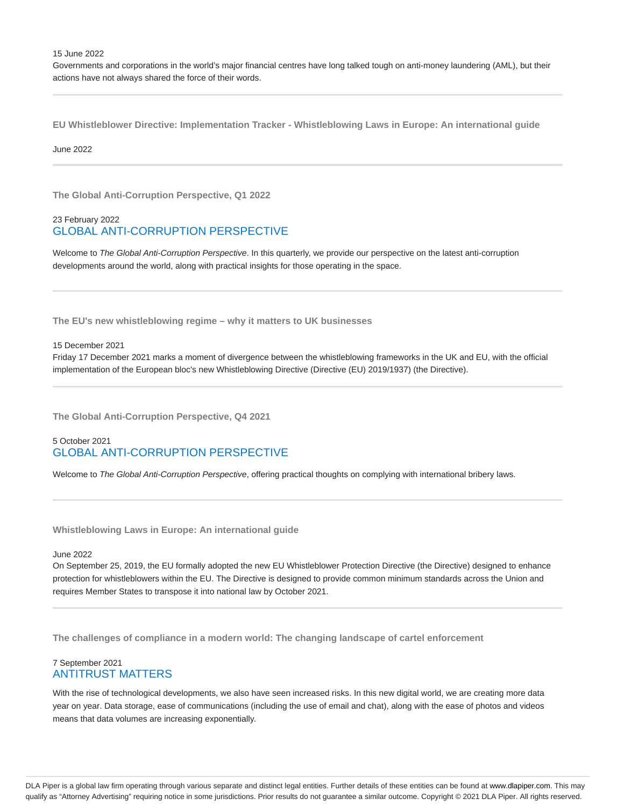15 June 2022

Governments and corporations in the world's major financial centres have long talked tough on anti-money laundering (AML), but their actions have not always shared the force of their words.

**EU Whistleblower Directive: Implementation Tracker - Whistleblowing Laws in Europe: An international guide**

June 2022

**The Global Anti-Corruption Perspective, Q1 2022**

## 23 February 2022 GLOBAL ANTI-CORRUPTION PERSPECTIVE

Welcome to The Global Anti-Corruption Perspective. In this quarterly, we provide our perspective on the latest anti-corruption developments around the world, along with practical insights for those operating in the space.

**The EU's new whistleblowing regime – why it matters to UK businesses**

#### 15 December 2021

Friday 17 December 2021 marks a moment of divergence between the whistleblowing frameworks in the UK and EU, with the official implementation of the European bloc's new Whistleblowing Directive (Directive (EU) 2019/1937) (the Directive).

**The Global Anti-Corruption Perspective, Q4 2021**

## 5 October 2021 GLOBAL ANTI-CORRUPTION PERSPECTIVE

Welcome to The Global Anti-Corruption Perspective, offering practical thoughts on complying with international bribery laws.

**Whistleblowing Laws in Europe: An international guide**

June 2022

On September 25, 2019, the EU formally adopted the new EU Whistleblower Protection Directive (the Directive) designed to enhance protection for whistleblowers within the EU. The Directive is designed to provide common minimum standards across the Union and requires Member States to transpose it into national law by October 2021.

**The challenges of compliance in a modern world: The changing landscape of cartel enforcement**

## 7 September 2021 ANTITRUST MATTERS

With the rise of technological developments, we also have seen increased risks. In this new digital world, we are creating more data year on year. Data storage, ease of communications (including the use of email and chat), along with the ease of photos and videos means that data volumes are increasing exponentially.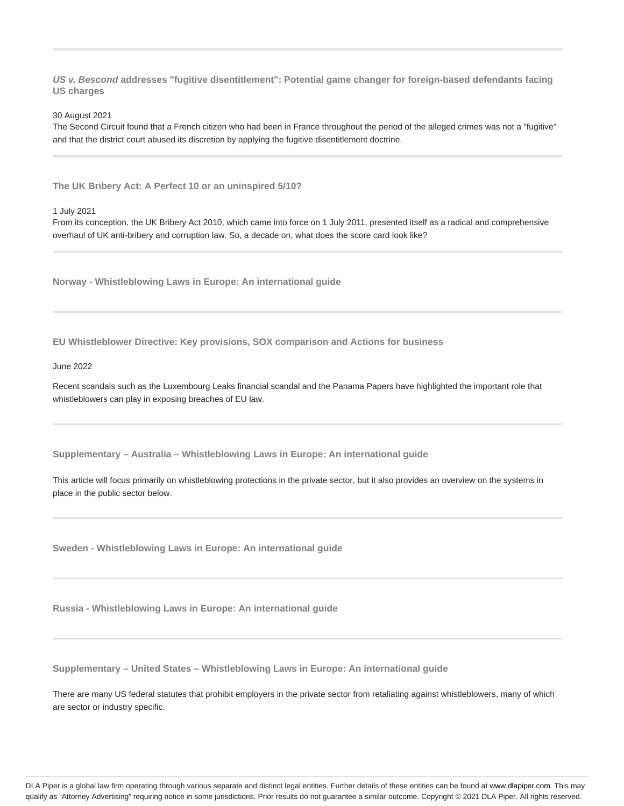**US v. Bescond addresses "fugitive disentitlement": Potential game changer for foreign-based defendants facing US charges**

30 August 2021

The Second Circuit found that a French citizen who had been in France throughout the period of the alleged crimes was not a "fugitive" and that the district court abused its discretion by applying the fugitive disentitlement doctrine.

**The UK Bribery Act: A Perfect 10 or an uninspired 5/10?**

1 July 2021

From its conception, the UK Bribery Act 2010, which came into force on 1 July 2011, presented itself as a radical and comprehensive overhaul of UK anti-bribery and corruption law. So, a decade on, what does the score card look like?

**Norway - Whistleblowing Laws in Europe: An international guide**

**EU Whistleblower Directive: Key provisions, SOX comparison and Actions for business**

## June 2022

Recent scandals such as the Luxembourg Leaks financial scandal and the Panama Papers have highlighted the important role that whistleblowers can play in exposing breaches of EU law.

**Supplementary – Australia – Whistleblowing Laws in Europe: An international guide**

This article will focus primarily on whistleblowing protections in the private sector, but it also provides an overview on the systems in place in the public sector below.

**Sweden - Whistleblowing Laws in Europe: An international guide**

**Russia - Whistleblowing Laws in Europe: An international guide**

**Supplementary – United States – Whistleblowing Laws in Europe: An international guide**

There are many US federal statutes that prohibit employers in the private sector from retaliating against whistleblowers, many of which are sector or industry specific.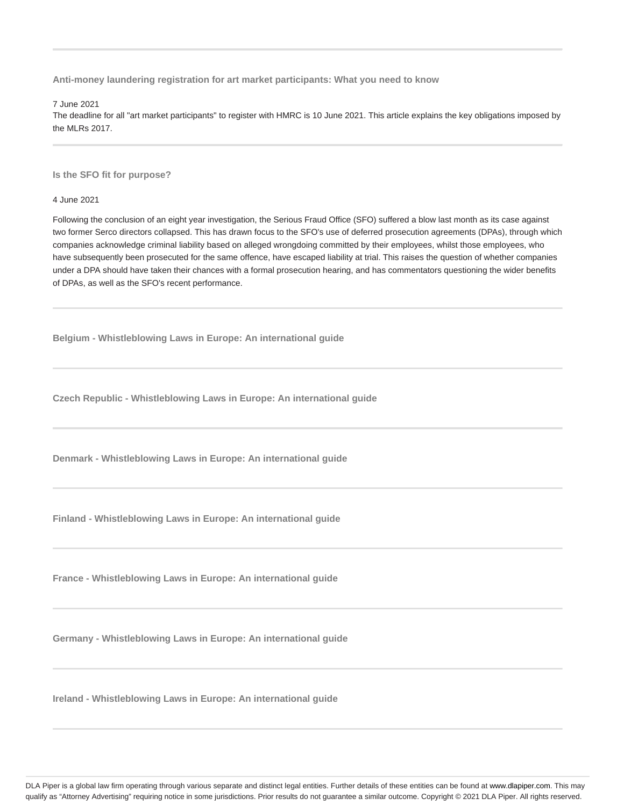**Anti-money laundering registration for art market participants: What you need to know**

7 June 2021

The deadline for all "art market participants" to register with HMRC is 10 June 2021. This article explains the key obligations imposed by the MLRs 2017.

**Is the SFO fit for purpose?**

4 June 2021

Following the conclusion of an eight year investigation, the Serious Fraud Office (SFO) suffered a blow last month as its case against two former Serco directors collapsed. This has drawn focus to the SFO's use of deferred prosecution agreements (DPAs), through which companies acknowledge criminal liability based on alleged wrongdoing committed by their employees, whilst those employees, who have subsequently been prosecuted for the same offence, have escaped liability at trial. This raises the question of whether companies under a DPA should have taken their chances with a formal prosecution hearing, and has commentators questioning the wider benefits of DPAs, as well as the SFO's recent performance.

**Belgium - Whistleblowing Laws in Europe: An international guide**

**Czech Republic - Whistleblowing Laws in Europe: An international guide**

**Denmark - Whistleblowing Laws in Europe: An international guide**

**Finland - Whistleblowing Laws in Europe: An international guide**

**France - Whistleblowing Laws in Europe: An international guide**

**Germany - Whistleblowing Laws in Europe: An international guide**

**Ireland - Whistleblowing Laws in Europe: An international guide**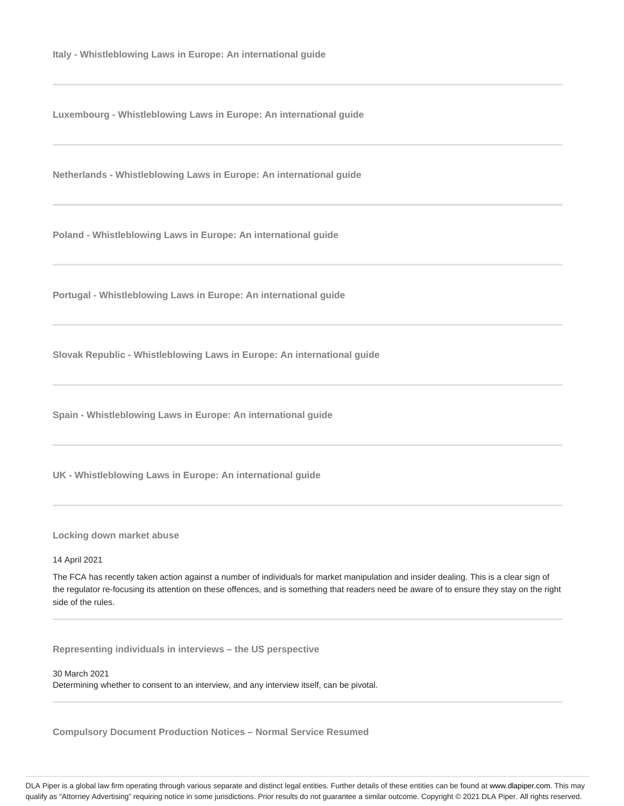**Italy - Whistleblowing Laws in Europe: An international guide**

**Luxembourg - Whistleblowing Laws in Europe: An international guide**

**Netherlands - Whistleblowing Laws in Europe: An international guide**

**Poland - Whistleblowing Laws in Europe: An international guide**

**Portugal - Whistleblowing Laws in Europe: An international guide**

**Slovak Republic - Whistleblowing Laws in Europe: An international guide**

**Spain - Whistleblowing Laws in Europe: An international guide**

**UK - Whistleblowing Laws in Europe: An international guide**

**Locking down market abuse**

## 14 April 2021

The FCA has recently taken action against a number of individuals for market manipulation and insider dealing. This is a clear sign of the regulator re-focusing its attention on these offences, and is something that readers need be aware of to ensure they stay on the right side of the rules.

**Representing individuals in interviews – the US perspective**

#### 30 March 2021

Determining whether to consent to an interview, and any interview itself, can be pivotal.

**Compulsory Document Production Notices – Normal Service Resumed**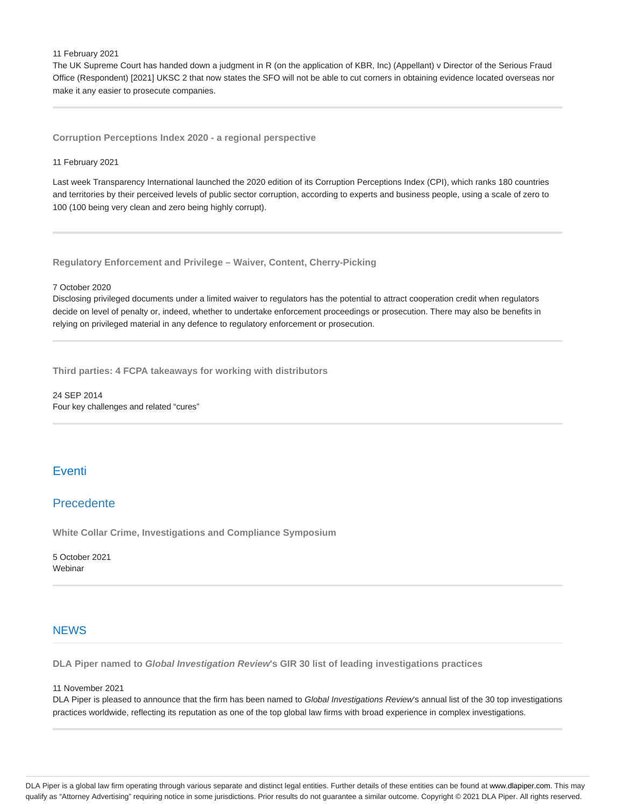11 February 2021

The UK Supreme Court has handed down a judgment in R (on the application of KBR, Inc) (Appellant) v Director of the Serious Fraud Office (Respondent) [2021] UKSC 2 that now states the SFO will not be able to cut corners in obtaining evidence located overseas nor make it any easier to prosecute companies.

**Corruption Perceptions Index 2020 - a regional perspective**

#### 11 February 2021

Last week Transparency International launched the 2020 edition of its Corruption Perceptions Index (CPI), which ranks 180 countries and territories by their perceived levels of public sector corruption, according to experts and business people, using a scale of zero to 100 (100 being very clean and zero being highly corrupt).

**Regulatory Enforcement and Privilege – Waiver, Content, Cherry-Picking**

#### 7 October 2020

Disclosing privileged documents under a limited waiver to regulators has the potential to attract cooperation credit when regulators decide on level of penalty or, indeed, whether to undertake enforcement proceedings or prosecution. There may also be benefits in relying on privileged material in any defence to regulatory enforcement or prosecution.

**Third parties: 4 FCPA takeaways for working with distributors**

24 SEP 2014 Four key challenges and related "cures"

# Eventi

## Precedente

**White Collar Crime, Investigations and Compliance Symposium**

5 October 2021 Webinar

## **NEWS**

**DLA Piper named to Global Investigation Review's GIR 30 list of leading investigations practices**

## 11 November 2021

DLA Piper is pleased to announce that the firm has been named to Global Investigations Review's annual list of the 30 top investigations practices worldwide, reflecting its reputation as one of the top global law firms with broad experience in complex investigations.